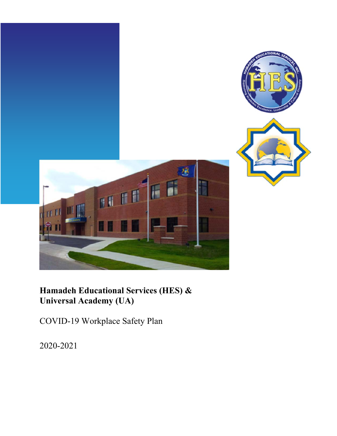

# **Hamadeh Educational Services (HES) & Universal Academy (UA)**

COVID-19 Workplace Safety Plan

2020-2021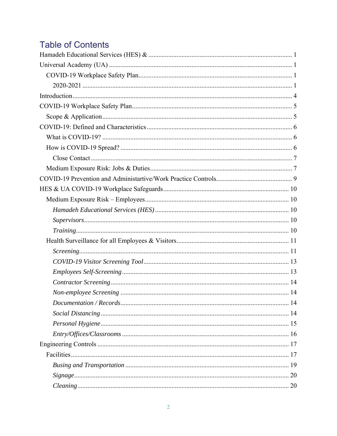# **Table of Contents**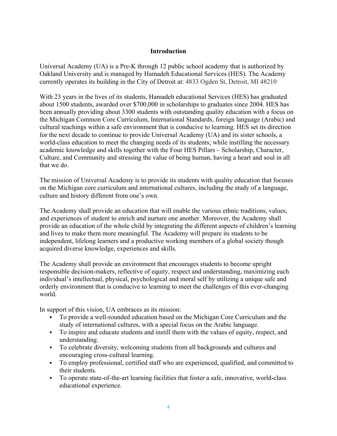## **Introduction**

Universal Academy (UA) is a Pre-K through 12 public school academy that is authorized by Oakland University and is managed by Hamadeh Educational Services (HES). The Academy currently operates its building in the City of Detroit at: 4833 Ogden St, Detroit, MI 48210

With 23 years in the lives of its students, Hamadeh educational Services (HES) has graduated about 1500 students, awarded over \$700,000 in scholarships to graduates since 2004. HES has been annually providing about 3300 students with outstanding quality education with a focus on the Michigan Common Core Curriculum, International Standards, foreign language (Arabic) and cultural teachings within a safe environment that is conducive to learning. HES set its direction for the next decade to continue to provide Universal Academy (UA) and its sister schools, a world-class education to meet the changing needs of its students; while instilling the necessary academic knowledge and skills together with the Four HES Pillars – Scholarship, Character, Culture, and Community and stressing the value of being human, having a heart and soul in all that we do.

The mission of Universal Academy is to provide its students with quality education that focuses on the Michigan core curriculum and international cultures, including the study of a language, culture and history different from one's own.

The Academy shall provide an education that will enable the various ethnic traditions, values, and experiences of student to enrich and nurture one another. Moreover, the Academy shall provide an education of the whole child by integrating the different aspects of children's learning and lives to make them more meaningful. The Academy will prepare its students to be independent, lifelong learners and a productive working members of a global society though acquired diverse knowledge, experiences and skills.

The Academy shall provide an environment that encourages students to become upright responsible decision-makers, reflective of equity, respect and understanding, maximizing each individual's intellectual, physical, psychological and moral self by utilizing a unique safe and orderly environment that is conducive to learning to meet the challenges of this ever-changing world.

In support of this vision, UA embraces as its mission:

- To provide a well-rounded education based on the Michigan Core Curriculum and the study of international cultures, with a special focus on the Arabic language.
- To inspire and educate students and instill them with the values of equity, respect, and understanding.
- To celebrate diversity, welcoming students from all backgrounds and cultures and encouraging cross-cultural learning.
- To employ professional, certified staff who are experienced, qualified, and committed to their students.
- To operate state-of-the-art learning facilities that foster a safe, innovative, world-class educational experience.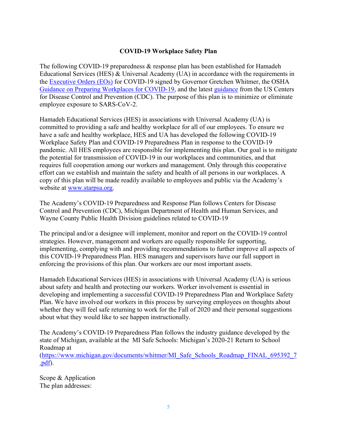## **COVID-19 Workplace Safety Plan**

The following COVID-19 preparedness & response plan has been established for Hamadeh Educational Services (HES) & Universal Academy (UA) in accordance with the requirements in the Executive Orders (EOs) for COVID-19 signed by Governor Gretchen Whitmer, the OSHA Guidance on Preparing Workplaces for COVID-19, and the latest guidance from the US Centers for Disease Control and Prevention (CDC). The purpose of this plan is to minimize or eliminate employee exposure to SARS-CoV-2.

Hamadeh Educational Services (HES) in associations with Universal Academy (UA) is committed to providing a safe and healthy workplace for all of our employees. To ensure we have a safe and healthy workplace, HES and UA has developed the following COVID-19 Workplace Safety Plan and COVID-19 Preparedness Plan in response to the COVID-19 pandemic. All HES employees are responsible for implementing this plan. Our goal is to mitigate the potential for transmission of COVID-19 in our workplaces and communities, and that requires full cooperation among our workers and management. Only through this cooperative effort can we establish and maintain the safety and health of all persons in our workplaces. A copy of this plan will be made readily available to employees and public via the Academy's website at www.starpsa.org.

The Academy's COVID-19 Preparedness and Response Plan follows Centers for Disease Control and Prevention (CDC), Michigan Department of Health and Human Services, and Wayne County Public Health Division guidelines related to COVID-19

The principal and/or a designee will implement, monitor and report on the COVID-19 control strategies. However, management and workers are equally responsible for supporting, implementing, complying with and providing recommendations to further improve all aspects of this COVID-19 Preparedness Plan. HES managers and supervisors have our full support in enforcing the provisions of this plan. Our workers are our most important assets.

Hamadeh Educational Services (HES) in associations with Universal Academy (UA) is serious about safety and health and protecting our workers. Worker involvement is essential in developing and implementing a successful COVID-19 Preparedness Plan and Workplace Safety Plan. We have involved our workers in this process by surveying employees on thoughts about whether they will feel safe returning to work for the Fall of 2020 and their personal suggestions about what they would like to see happen instructionally.

The Academy's COVID-19 Preparedness Plan follows the industry guidance developed by the state of Michigan, available at the MI Safe Schools: Michigan's 2020-21 Return to School Roadmap at

(https://www.michigan.gov/documents/whitmer/MI\_Safe\_Schools\_Roadmap\_FINAL\_695392\_7 .pdf).

Scope & Application The plan addresses: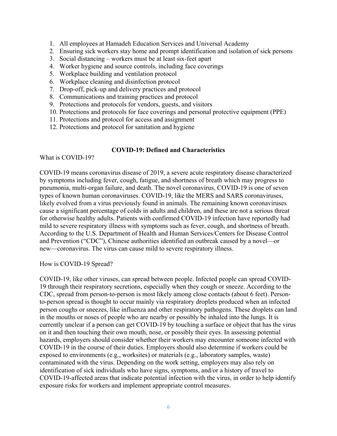- 1. All employees at Hamadeh Education Services and Universal Academy
- 2. Ensuring sick workers stay home and prompt identification and isolation of sick persons
- 3. Social distancing workers must be at least six-feet apart
- 4. Worker hygiene and source controls, including face coverings
- 5. Workplace building and ventilation protocol
- 6. Workplace cleaning and disinfection protocol
- 7. Drop-off, pick-up and delivery practices and protocol
- 8. Communications and training practices and protocol
- 9. Protections and protocols for vendors, guests, and visitors
- 10. Protections and protocols for face coverings and personal protective equipment (PPE)
- 11. Protections and protocol for access and assignment
- 12. Protections and protocol for sanitation and hygiene

## **COVID-19: Defined and Characteristics**

What is COVID-19?

COVID-19 means coronavirus disease of 2019, a severe acute respiratory disease characterized by symptoms including fever, cough, fatigue, and shortness of breath which may progress to pneumonia, multi-organ failure, and death. The novel coronavirus, COVID-19 is one of seven types of known human coronaviruses. COVID-19, like the MERS and SARS coronaviruses, likely evolved from a virus previously found in animals. The remaining known coronaviruses cause a significant percentage of colds in adults and children, and these are not a serious threat for otherwise healthy adults. Patients with confirmed COVID-19 infection have reportedly had mild to severe respiratory illness with symptoms such as fever, cough, and shortness of breath. According to the U.S. Department of Health and Human Services/Centers for Disease Control and Prevention ("CDC"), Chinese authorities identified an outbreak caused by a novel—or new—coronavirus. The virus can cause mild to severe respiratory illness.

How is COVID-19 Spread?

COVID-19, like other viruses, can spread between people. Infected people can spread COVID-19 through their respiratory secretions, especially when they cough or sneeze. According to the CDC, spread from person-to-person is most likely among close contacts (about 6 feet). Personto-person spread is thought to occur mainly via respiratory droplets produced when an infected person coughs or sneezes, like influenza and other respiratory pathogens. These droplets can land in the mouths or noses of people who are nearby or possibly be inhaled into the lungs. It is currently unclear if a person can get COVID-19 by touching a surface or object that has the virus on it and then touching their own mouth, nose, or possibly their eyes. In assessing potential hazards, employers should consider whether their workers may encounter someone infected with COVID-19 in the course of their duties. Employers should also determine if workers could be exposed to environments (e.g., worksites) or materials (e.g., laboratory samples, waste) contaminated with the virus. Depending on the work setting, employers may also rely on identification of sick individuals who have signs, symptoms, and/or a history of travel to COVID-19-affected areas that indicate potential infection with the virus, in order to help identify exposure risks for workers and implement appropriate control measures.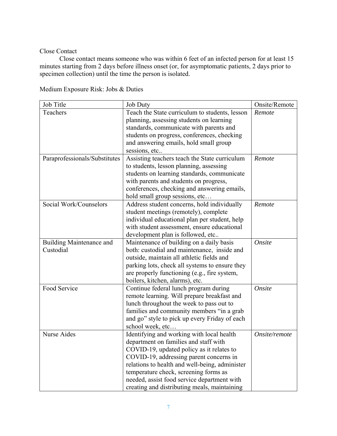#### Close Contact

 Close contact means someone who was within 6 feet of an infected person for at least 15 minutes starting from 2 days before illness onset (or, for asymptomatic patients, 2 days prior to specimen collection) until the time the person is isolated.

| Job Title                     | <b>Job Duty</b>                                | Onsite/Remote |
|-------------------------------|------------------------------------------------|---------------|
| Teachers                      | Teach the State curriculum to students, lesson | Remote        |
|                               | planning, assessing students on learning       |               |
|                               | standards, communicate with parents and        |               |
|                               | students on progress, conferences, checking    |               |
|                               | and answering emails, hold small group         |               |
|                               | sessions, etc                                  |               |
| Paraprofessionals/Substitutes | Assisting teachers teach the State curriculum  | Remote        |
|                               | to students, lesson planning, assessing        |               |
|                               | students on learning standards, communicate    |               |
|                               | with parents and students on progress,         |               |
|                               | conferences, checking and answering emails,    |               |
|                               | hold small group sessions, etc                 |               |
| Social Work/Counselors        | Address student concerns, hold individually    | Remote        |
|                               | student meetings (remotely), complete          |               |
|                               | individual educational plan per student, help  |               |
|                               | with student assessment, ensure educational    |               |
|                               | development plan is followed, etc              |               |
| Building Maintenance and      | Maintenance of building on a daily basis       | Onsite        |
| Custodial                     | both: custodial and maintenance, inside and    |               |
|                               | outside, maintain all athletic fields and      |               |
|                               | parking lots, check all systems to ensure they |               |
|                               | are properly functioning (e.g., fire system,   |               |
|                               | boilers, kitchen, alarms), etc.                |               |
| Food Service                  | Continue federal lunch program during          | Onsite        |
|                               | remote learning. Will prepare breakfast and    |               |
|                               | lunch throughout the week to pass out to       |               |
|                               | families and community members "in a grab      |               |
|                               | and go" style to pick up every Friday of each  |               |
|                               | school week, etc                               |               |
| <b>Nurse Aides</b>            | Identifying and working with local health      | Onsite/remote |
|                               | department on families and staff with          |               |
|                               | COVID-19, updated policy as it relates to      |               |
|                               | COVID-19, addressing parent concerns in        |               |
|                               | relations to health and well-being, administer |               |
|                               | temperature check, screening forms as          |               |
|                               | needed, assist food service department with    |               |
|                               | creating and distributing meals, maintaining   |               |

Medium Exposure Risk: Jobs & Duties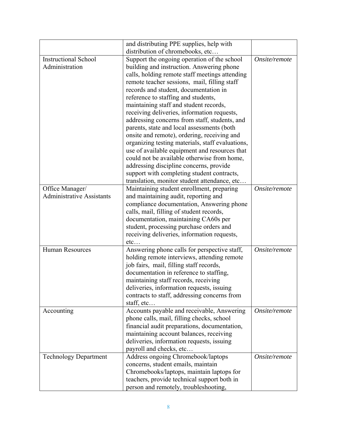|                                  | and distributing PPE supplies, help with         |               |
|----------------------------------|--------------------------------------------------|---------------|
|                                  | distribution of chromebooks, etc                 |               |
| <b>Instructional School</b>      | Support the ongoing operation of the school      | Onsite/remote |
| Administration                   | building and instruction. Answering phone        |               |
|                                  | calls, holding remote staff meetings attending   |               |
|                                  | remote teacher sessions, mail, filling staff     |               |
|                                  | records and student, documentation in            |               |
|                                  | reference to staffing and students,              |               |
|                                  | maintaining staff and student records,           |               |
|                                  | receiving deliveries, information requests,      |               |
|                                  | addressing concerns from staff, students, and    |               |
|                                  | parents, state and local assessments (both       |               |
|                                  | onsite and remote), ordering, receiving and      |               |
|                                  | organizing testing materials, staff evaluations, |               |
|                                  | use of available equipment and resources that    |               |
|                                  | could not be available otherwise from home,      |               |
|                                  | addressing discipline concerns, provide          |               |
|                                  | support with completing student contracts,       |               |
|                                  | translation, monitor student attendance, etc     |               |
| Office Manager/                  | Maintaining student enrollment, preparing        | Onsite/remote |
| <b>Administrative Assistants</b> | and maintaining audit, reporting and             |               |
|                                  | compliance documentation, Answering phone        |               |
|                                  | calls, mail, filling of student records,         |               |
|                                  | documentation, maintaining CA60s per             |               |
|                                  | student, processing purchase orders and          |               |
|                                  | receiving deliveries, information requests,      |               |
|                                  | etc                                              |               |
| <b>Human Resources</b>           | Answering phone calls for perspective staff,     | Onsite/remote |
|                                  | holding remote interviews, attending remote      |               |
|                                  | job fairs, mail, filling staff records,          |               |
|                                  | documentation in reference to staffing,          |               |
|                                  | maintaining staff records, receiving             |               |
|                                  | deliveries, information requests, issuing        |               |
|                                  | contracts to staff, addressing concerns from     |               |
|                                  | staff, etc                                       |               |
| Accounting                       | Accounts payable and receivable, Answering       | Onsite/remote |
|                                  | phone calls, mail, filling checks, school        |               |
|                                  | financial audit preparations, documentation,     |               |
|                                  | maintaining account balances, receiving          |               |
|                                  | deliveries, information requests, issuing        |               |
|                                  | payroll and checks, etc                          |               |
| <b>Technology Department</b>     | Address ongoing Chromebook/laptops               | Onsite/remote |
|                                  | concerns, student emails, maintain               |               |
|                                  | Chromebooks/laptops, maintain laptops for        |               |
|                                  | teachers, provide technical support both in      |               |
|                                  | person and remotely, troubleshooting,            |               |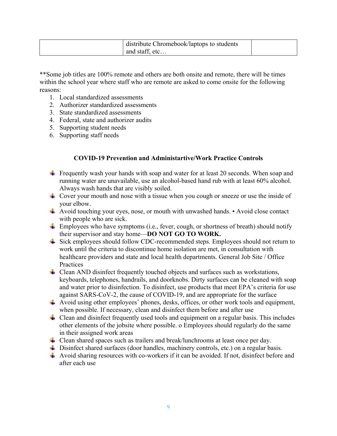| distribute Chromebook/laptops to students |  |
|-------------------------------------------|--|
| and staff, etc                            |  |

\*\*Some job titles are 100% remote and others are both onsite and remote, there will be times within the school year where staff who are remote are asked to come onsite for the following reasons:

- 1. Local standardized assessments
- 2. Authorizer standardized assessments
- 3. State standardized assessments
- 4. Federal, state and authorizer audits
- 5. Supporting student needs
- 6. Supporting staff needs

## **COVID-19 Prevention and Administartive/Work Practice Controls**

- **Figurently wash your hands with soap and water for at least 20 seconds. When soap and** running water are unavailable, use an alcohol-based hand rub with at least 60% alcohol. Always wash hands that are visibly soiled.
- Fover your mouth and nose with a tissue when you cough or sneeze or use the inside of your elbow.
- $\downarrow$  Avoid touching your eyes, nose, or mouth with unwashed hands. Avoid close contact with people who are sick.
- $\frac{1}{\sqrt{2}}$  Employees who have symptoms (i.e., fever, cough, or shortness of breath) should notify their supervisor and stay home—**DO NOT GO TO WORK.**
- Sick employees should follow CDC-recommended steps. Employees should not return to work until the criteria to discontinue home isolation are met, in consultation with healthcare providers and state and local health departments. General Job Site / Office **Practices**
- $\pm$  Clean AND disinfect frequently touched objects and surfaces such as workstations, keyboards, telephones, handrails, and doorknobs. Dirty surfaces can be cleaned with soap and water prior to disinfection. To disinfect, use products that meet EPA's criteria for use against SARS-CoV-2, the cause of COVID-19, and are appropriate for the surface
- $\blacktriangle$  Avoid using other employees' phones, desks, offices, or other work tools and equipment, when possible. If necessary, clean and disinfect them before and after use
- $\perp$  Clean and disinfect frequently used tools and equipment on a regular basis. This includes other elements of the jobsite where possible. o Employees should regularly do the same in their assigned work areas
- **↓** Clean shared spaces such as trailers and break/lunchrooms at least once per day.
- $\overline{\phantom{a}}$  Disinfect shared surfaces (door handles, machinery controls, etc.) on a regular basis.
- $\overline{\text{4}}$  Avoid sharing resources with co-workers if it can be avoided. If not, disinfect before and after each use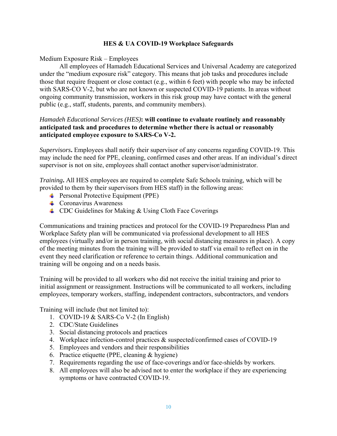### **HES & UA COVID-19 Workplace Safeguards**

## Medium Exposure Risk – Employees

 All employees of Hamadeh Educational Services and Universal Academy are categorized under the "medium exposure risk" category. This means that job tasks and procedures include those that require frequent or close contact (e.g., within 6 feet) with people who may be infected with SARS-CO V-2, but who are not known or suspected COVID-19 patients. In areas without ongoing community transmission, workers in this risk group may have contact with the general public (e.g., staff, students, parents, and community members).

## *Hamadeh Educational Services (HES)***: will continue to evaluate routinely and reasonably anticipated task and procedures to determine whether there is actual or reasonably anticipated employee exposure to SARS-Co V-2.**

*Supervisors***.** Employees shall notify their supervisor of any concerns regarding COVID-19. This may include the need for PPE, cleaning, confirmed cases and other areas. If an individual's direct supervisor is not on site, employees shall contact another supervisor/administrator.

*Training***.** All HES employees are required to complete Safe Schools training, which will be provided to them by their supervisors from HES staff) in the following areas:

- **Personal Protective Equipment (PPE)**
- Coronavirus Awareness
- $\perp$  CDC Guidelines for Making & Using Cloth Face Coverings

Communications and training practices and protocol for the COVID-19 Preparedness Plan and Workplace Safety plan will be communicated via professional development to all HES employees (virtually and/or in person training, with social distancing measures in place). A copy of the meeting minutes from the training will be provided to staff via email to reflect on in the event they need clarification or reference to certain things. Additional communication and training will be ongoing and on a needs basis.

Training will be provided to all workers who did not receive the initial training and prior to initial assignment or reassignment. Instructions will be communicated to all workers, including employees, temporary workers, staffing, independent contractors, subcontractors, and vendors

Training will include (but not limited to):

- 1. COVID-19 & SARS-Co V-2 (In English)
- 2. CDC/State Guidelines
- 3. Social distancing protocols and practices
- 4. Workplace infection-control practices & suspected/confirmed cases of COVID-19
- 5. Employees and vendors and their responsibilities
- 6. Practice etiquette (PPE, cleaning & hygiene)
- 7. Requirements regarding the use of face-coverings and/or face-shields by workers.
- 8. All employees will also be advised not to enter the workplace if they are experiencing symptoms or have contracted COVID-19.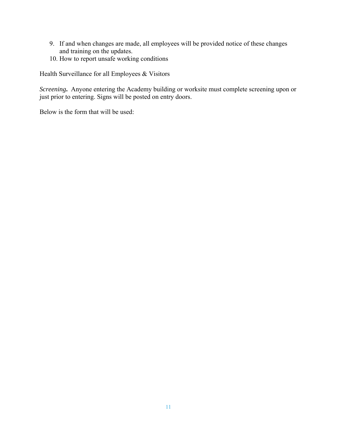- 9. If and when changes are made, all employees will be provided notice of these changes and training on the updates.
- 10. How to report unsafe working conditions

Health Surveillance for all Employees & Visitors

*Screening***.** Anyone entering the Academy building or worksite must complete screening upon or just prior to entering. Signs will be posted on entry doors.

Below is the form that will be used: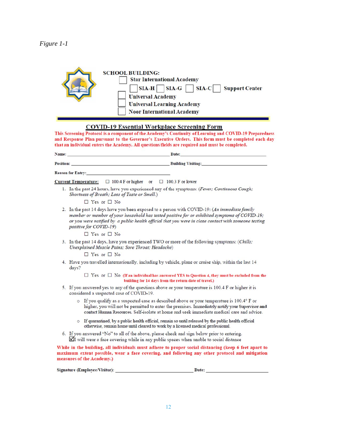| <b>SCHOOL BUILDING:</b><br><b>Star International Academy</b><br>$SIA-G$<br>$SIA-C$<br>$SIA-H$<br><b>Support Center</b><br><b>Universal Academy</b> |
|----------------------------------------------------------------------------------------------------------------------------------------------------|
| <b>Universal Learning Academy</b>                                                                                                                  |
| <b>Noor International Academy</b>                                                                                                                  |

#### **COVID-19 Essential Workplace Screening Form**

This Screening Protocol is a component of the Academy's Continuity of Learning and COVID-19 Preparedness and Response Plan pursuant to the Governor's Executive Orders. This form must be completed each day that an individual enters the Academy. All questions/fields are required and must be completed.

| Name:                    | Date:                     |  |
|--------------------------|---------------------------|--|
| Position:                | <b>Building Visiting:</b> |  |
| <b>Reason for Entry:</b> |                           |  |

Current Temperature:  $\Box$  100.4 F or higher or  $\Box$  100.3 F or lower

1. In the past 24 hours, have you experienced any of the symptoms: (Fever; Continuous Cough; Shortness of Breath; Loss of Taste or Smell.)

 $\Box$  Yes or  $\Box$  No

2. In the past 14 days have you been exposed to a person with COVID-19: (An immediate family member or member of your household has tested positive for or exhibited symptoms of COVID-19; or you were notified by a public health official that you were in close contact with someone testing positive for COVID-19)

 $\Box$  Yes or  $\Box$  No

3. In the past 14 days, have you experienced TWO or more of the following symptoms: (Chills; Unexplained Muscle Pains; Sore Throat; Headache)

 $\Box$  Yes or  $\Box$  No

4. Have you travelled internationally, including by vehicle, plane or cruise ship, within the last 14 days?

> $\Box$  Yes or  $\Box$  No (If an individual has answered YES to Question 4, they must be excluded from the building for 14 days from the return date of travel.)

- 5. If you answered yes to any of the questions above or your temperature is 100.4 F or higher it is considered a suspected case of COVID-19.
	- If you qualify as a suspected case as described above or your temperature is 100.4° F or higher, you will not be permitted to enter the premises. Immediately notify your Supervisor and contact Human Resources. Self-isolate at home and seek immediate medical care and advice.
	- o If quarantined, by a public health official, remain so until released by the public health official otherwise, remain home until cleared to work by a licensed medical professional.
- 6. If you answered "No" to all of the above, please check and sign below prior to entering. ◘ I will wear a face covering while in any public spaces when unable to social distance

While in the building, all individuals must adhere to proper social distancing (keep 6 feet apart to maximum extent possible, wear a face covering, and following any other protocol and mitigation measures of the Academy.)

| <b>Signature (Employee/Visitor):</b> | <b>Date</b> |  |
|--------------------------------------|-------------|--|
|--------------------------------------|-------------|--|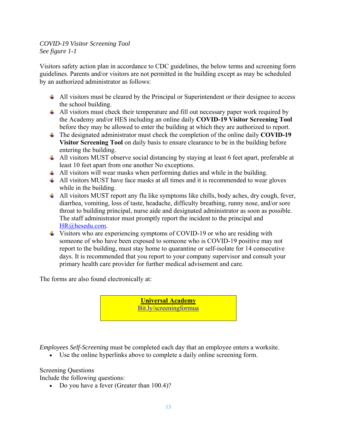## *COVID-19 Visitor Screening Tool See figure 1-1*

Visitors safety action plan in accordance to CDC guidelines, the below terms and screening form guidelines. Parents and/or visitors are not permitted in the building except as may be scheduled by an authorized administrator as follows:

- $\perp$  All visitors must be cleared by the Principal or Superintendent or their designee to access the school building.
- All visitors must check their temperature and fill out necessary paper work required by the Academy and/or HES including an online daily **COVID-19 Visitor Screening Tool** before they may be allowed to enter the building at which they are authorized to report.
- The designated administrator must check the completion of the online daily **COVID-19 Visitor Screening Tool** on daily basis to ensure clearance to be in the building before entering the building.
- All visitors MUST observe social distancing by staying at least 6 feet apart, preferable at least 10 feet apart from one another No exceptions.
- $\triangleq$  All visitors will wear masks when performing duties and while in the building.
- $\triangleq$  All visitors MUST have face masks at all times and it is recommended to wear gloves while in the building.
- All visitors MUST report any flu like symptoms like chills, body aches, dry cough, fever, diarrhea, vomiting, loss of taste, headache, difficulty breathing, runny nose, and/or sore throat to building principal, nurse aide and designated administrator as soon as possible. The staff administrator must promptly report the incident to the principal and HR@hesedu.com.
- $\overline{\phantom{a}}$  Visitors who are experiencing symptoms of COVID-19 or who are residing with someone of who have been exposed to someone who is COVID-19 positive may not report to the building, must stay home to quarantine or self-isolate for 14 consecutive days. It is recommended that you report to your company supervisor and consult your primary health care provider for further medical advisement and care.

The forms are also found electronically at:

**Universal Academy**  Bit.ly/screeningformua

*Employees Self-Screening* must be completed each day that an employee enters a worksite.

Use the online hyperlinks above to complete a daily online screening form.

Screening Questions

Include the following questions:

• Do you have a fever (Greater than 100.4)?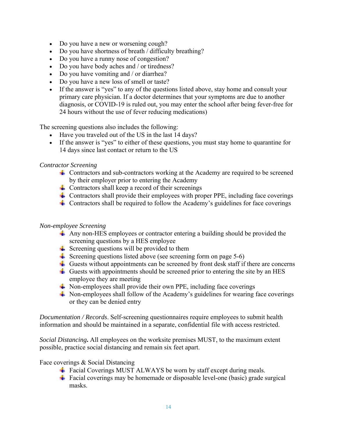- Do you have a new or worsening cough?
- Do you have shortness of breath / difficulty breathing?
- Do you have a runny nose of congestion?
- Do you have body aches and / or tiredness?
- Do you have vomiting and / or diarrhea?
- Do you have a new loss of smell or taste?
- If the answer is "yes" to any of the questions listed above, stay home and consult your primary care physician. If a doctor determines that your symptoms are due to another diagnosis, or COVID-19 is ruled out, you may enter the school after being fever-free for 24 hours without the use of fever reducing medications)

The screening questions also includes the following:

- Have you traveled out of the US in the last 14 days?
- If the answer is "yes" to either of these questions, you must stay home to quarantine for 14 days since last contact or return to the US

#### *Contractor Screening*

- Contractors and sub-contractors working at the Academy are required to be screened by their employer prior to entering the Academy
- $\frac{1}{\sqrt{2}}$  Contractors shall keep a record of their screenings
- $\pm$  Contractors shall provide their employees with proper PPE, including face coverings
- $\triangleq$  Contractors shall be required to follow the Academy's guidelines for face coverings

#### *Non-employee Screening*

- $\pm$  Any non-HES employees or contractor entering a building should be provided the screening questions by a HES employee
- $\frac{1}{\sqrt{2}}$  Screening questions will be provided to them
- Screening questions listed above (see screening form on page  $5-6$ )
- Guests without appointments can be screened by front desk staff if there are concerns
- Guests with appointments should be screened prior to entering the site by an HES employee they are meeting
- $\overline{\text{}}$  Non-employees shall provide their own PPE, including face coverings
- $\ddot{\text{+}}$  Non-employees shall follow of the Academy's guidelines for wearing face coverings or they can be denied entry

*Documentation / Records*. Self-screening questionnaires require employees to submit health information and should be maintained in a separate, confidential file with access restricted.

*Social Distancing***.** All employees on the worksite premises MUST, to the maximum extent possible, practice social distancing and remain six feet apart.

Face coverings & Social Distancing

- $\overline{\text{4}}$  Facial Coverings MUST ALWAYS be worn by staff except during meals.
- $\overline{\text{4}}$  Facial coverings may be homemade or disposable level-one (basic) grade surgical masks.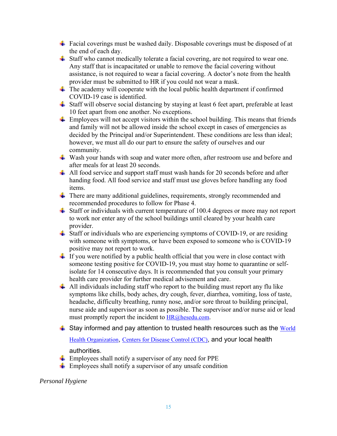- Facial coverings must be washed daily. Disposable coverings must be disposed of at the end of each day.
- $\ddot{\bullet}$  Staff who cannot medically tolerate a facial covering, are not required to wear one. Any staff that is incapacitated or unable to remove the facial covering without assistance, is not required to wear a facial covering. A doctor's note from the health provider must be submitted to HR if you could not wear a mask.
- $\ddot{\text{+}}$  The academy will cooperate with the local public health department if confirmed COVID-19 case is identified.
- $\pm$  Staff will observe social distancing by staying at least 6 feet apart, preferable at least 10 feet apart from one another. No exceptions.
- $\overline{\text{L}}$  Employees will not accept visitors within the school building. This means that friends and family will not be allowed inside the school except in cases of emergencies as decided by the Principal and/or Superintendent. These conditions are less than ideal; however, we must all do our part to ensure the safety of ourselves and our community.
- $\overline{\textbf{+}}$  Wash your hands with soap and water more often, after restroom use and before and after meals for at least 20 seconds.
- $\ddot{\textbf{+}}$  All food service and support staff must wash hands for 20 seconds before and after handing food. All food service and staff must use gloves before handling any food items.
- There are many additional guidelines, requirements, strongly recommended and recommended procedures to follow for Phase 4.
- $\ddot{\phantom{1}}$  Staff or individuals with current temperature of 100.4 degrees or more may not report to work nor enter any of the school buildings until cleared by your health care provider.
- $\ddot{\bullet}$  Staff or individuals who are experiencing symptoms of COVID-19, or are residing with someone with symptoms, or have been exposed to someone who is COVID-19 positive may not report to work.
- $\perp$  If you were notified by a public health official that you were in close contact with someone testing positive for COVID-19, you must stay home to quarantine or selfisolate for 14 consecutive days. It is recommended that you consult your primary health care provider for further medical advisement and care.
- $\pm$  All individuals including staff who report to the building must report any flu like symptoms like chills, body aches, dry cough, fever, diarrhea, vomiting, loss of taste, headache, difficulty breathing, runny nose, and/or sore throat to building principal, nurse aide and supervisor as soon as possible. The supervisor and/or nurse aid or lead must promptly report the incident to  $HR@$  hesedu.com.
- $\frac{1}{2}$  Stay informed and pay attention to trusted health resources such as the World

Health Organization, Centers for Disease Control (CDC), and your local health

authorities.

- $\perp$  Employees shall notify a supervisor of any need for PPE
- $\pm$  Employees shall notify a supervisor of any unsafe condition

*Personal Hygiene*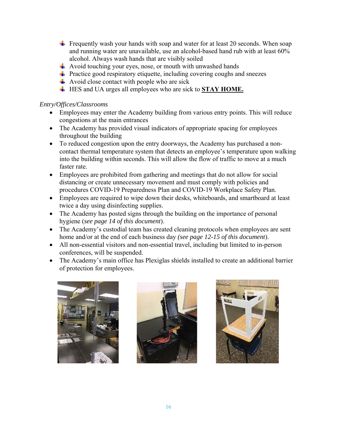- **Figurently wash your hands with soap and water for at least 20 seconds.** When soap and running water are unavailable, use an alcohol-based hand rub with at least 60% alcohol. Always wash hands that are visibly soiled
- $\pm$  Avoid touching your eyes, nose, or mouth with unwashed hands
- $\pm$  Practice good respiratory etiquette, including covering coughs and sneezes
- Avoid close contact with people who are sick
- HES and UA urges all employees who are sick to **STAY HOME.**

## *Entry/Offices/Classrooms*

- Employees may enter the Academy building from various entry points. This will reduce congestions at the main entrances
- The Academy has provided visual indicators of appropriate spacing for employees throughout the building
- To reduced congestion upon the entry doorways, the Academy has purchased a noncontact thermal temperature system that detects an employee's temperature upon walking into the building within seconds. This will allow the flow of traffic to move at a much faster rate.
- Employees are prohibited from gathering and meetings that do not allow for social distancing or create unnecessary movement and must comply with policies and procedures COVID-19 Preparedness Plan and COVID-19 Workplace Safety Plan.
- Employees are required to wipe down their desks, whiteboards, and smartboard at least twice a day using disinfecting supplies.
- The Academy has posted signs through the building on the importance of personal hygiene (*see page 14 of this document*).
- The Academy's custodial team has created cleaning protocols when employees are sent home and/or at the end of each business day *(see page 12-15 of this document*).
- All non-essential visitors and non-essential travel, including but limited to in-person conferences, will be suspended.
- The Academy's main office has Plexiglas shields installed to create an additional barrier of protection for employees.





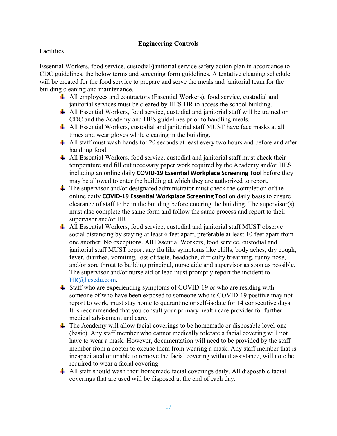## **Engineering Controls**

## **Facilities**

Essential Workers, food service, custodial/janitorial service safety action plan in accordance to CDC guidelines, the below terms and screening form guidelines. A tentative cleaning schedule will be created for the food service to prepare and serve the meals and janitorial team for the building cleaning and maintenance.

- All employees and contractors (Essential Workers), food service, custodial and janitorial services must be cleared by HES-HR to access the school building.
- $\perp$  All Essential Workers, food service, custodial and janitorial staff will be trained on CDC and the Academy and HES guidelines prior to handling meals.
- All Essential Workers, custodial and janitorial staff MUST have face masks at all times and wear gloves while cleaning in the building.
- $\overline{\text{+}}$  All staff must wash hands for 20 seconds at least every two hours and before and after handling food.
- $\triangleq$  All Essential Workers, food service, custodial and janitorial staff must check their temperature and fill out necessary paper work required by the Academy and/or HES including an online daily **COVID‐19 Essential Workplace Screening Tool** before they may be allowed to enter the building at which they are authorized to report.
- $\frac{1}{\sqrt{2}}$  The supervisor and/or designated administrator must check the completion of the online daily **COVID‐19 Essential Workplace Screening Tool** on daily basis to ensure clearance of staff to be in the building before entering the building. The supervisor(s) must also complete the same form and follow the same process and report to their supervisor and/or HR.
- $\triangleq$  All Essential Workers, food service, custodial and janitorial staff MUST observe social distancing by staying at least 6 feet apart, preferable at least 10 feet apart from one another. No exceptions. All Essential Workers, food service, custodial and janitorial staff MUST report any flu like symptoms like chills, body aches, dry cough, fever, diarrhea, vomiting, loss of taste, headache, difficulty breathing, runny nose, and/or sore throat to building principal, nurse aide and supervisor as soon as possible. The supervisor and/or nurse aid or lead must promptly report the incident to HR@hesedu.com.
- $\overline{\text{4}}$  Staff who are experiencing symptoms of COVID-19 or who are residing with someone of who have been exposed to someone who is COVID-19 positive may not report to work, must stay home to quarantine or self-isolate for 14 consecutive days. It is recommended that you consult your primary health care provider for further medical advisement and care.
- $\perp$  The Academy will allow facial coverings to be homemade or disposable level-one (basic). Any staff member who cannot medically tolerate a facial covering will not have to wear a mask. However, documentation will need to be provided by the staff member from a doctor to excuse them from wearing a mask. Any staff member that is incapacitated or unable to remove the facial covering without assistance, will note be required to wear a facial covering.
- $\pm$  All staff should wash their homemade facial coverings daily. All disposable facial coverings that are used will be disposed at the end of each day.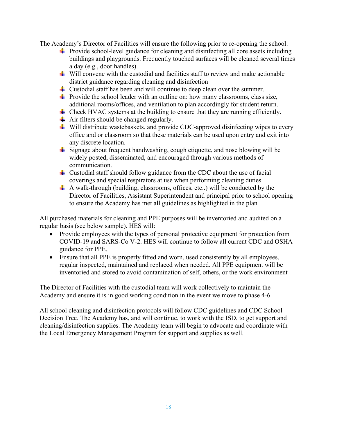The Academy's Director of Facilities will ensure the following prior to re-opening the school:

- $\ddot{\phantom{1}}$  Provide school-level guidance for cleaning and disinfecting all core assets including buildings and playgrounds. Frequently touched surfaces will be cleaned several times a day (e.g., door handles).
- $\ddot{\textbf{u}}$  Will convene with the custodial and facilities staff to review and make actionable district guidance regarding cleaning and disinfection
- $\downarrow$  Custodial staff has been and will continue to deep clean over the summer.
- $\ddot{\text{+}}$  Provide the school leader with an outline on: how many classrooms, class size, additional rooms/offices, and ventilation to plan accordingly for student return.
- $\perp$  Check HVAC systems at the building to ensure that they are running efficiently.
- $\overline{\text{ } }$  Air filters should be changed regularly.
- $\ddot{\bullet}$  Will distribute wastebaskets, and provide CDC-approved disinfecting wipes to every office and or classroom so that these materials can be used upon entry and exit into any discrete location.
- Signage about frequent handwashing, cough etiquette, and nose blowing will be widely posted, disseminated, and encouraged through various methods of communication.
- $\pm$  Custodial staff should follow guidance from the CDC about the use of facial coverings and special respirators at use when performing cleaning duties
- $\overline{\textbf{A}}$  A walk-through (building, classrooms, offices, etc..) will be conducted by the Director of Facilities, Assistant Superintendent and principal prior to school opening to ensure the Academy has met all guidelines as highlighted in the plan

All purchased materials for cleaning and PPE purposes will be inventoried and audited on a regular basis (see below sample). HES will:

- Provide employees with the types of personal protective equipment for protection from COVID-19 and SARS-Co V-2. HES will continue to follow all current CDC and OSHA guidance for PPE.
- Ensure that all PPE is properly fitted and worn, used consistently by all employees, regular inspected, maintained and replaced when needed. All PPE equipment will be inventoried and stored to avoid contamination of self, others, or the work environment

The Director of Facilities with the custodial team will work collectively to maintain the Academy and ensure it is in good working condition in the event we move to phase 4-6.

All school cleaning and disinfection protocols will follow CDC guidelines and CDC School Decision Tree. The Academy has, and will continue, to work with the ISD, to get support and cleaning/disinfection supplies. The Academy team will begin to advocate and coordinate with the Local Emergency Management Program for support and supplies as well.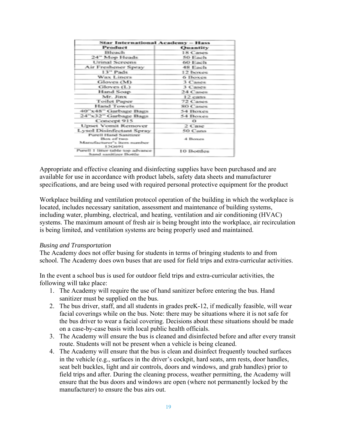| <b>Star International Academy - Hass</b>                   |            |  |
|------------------------------------------------------------|------------|--|
| Product                                                    | Quantity   |  |
| Bleach                                                     | 18 Cases   |  |
| 24" Mop Heads                                              | 50 Each    |  |
| <b>Urinal Screens</b>                                      | 60 Each    |  |
| Air Freshener Spray                                        | 48 Each    |  |
| 13" Pads                                                   | 12 boxes   |  |
| Wax Liners                                                 | 6 Boxes    |  |
| Gloves(M)                                                  | 3 Cases    |  |
| Gloves (L)                                                 | 3 Cases    |  |
| Hand Soap                                                  | 24 Cases   |  |
| Mr. Jinx                                                   | $12$ cans  |  |
| <b>Toilet Paper</b>                                        | 72 Cases   |  |
| Hand Towels                                                | 80 Cases   |  |
| 40"x48" Garbage Bags                                       | 54 Boxes   |  |
| 24"x32" Garbage Bags                                       | 54 Boxes   |  |
| Concept 915                                                | $\Omega$   |  |
| <b>Upset Vomit Remover</b>                                 | 2 Case     |  |
| <b>Lysol Disinfectant Spray</b>                            | 50 Cans    |  |
| <b>Purell Hand Sanitizer</b>                               |            |  |
| Box of two                                                 | 4 Boxes    |  |
| Manufacturer's item number<br>13G691                       |            |  |
| Purell 1 litter table top advance<br>hand sanitizer Bottle | 10 Bottles |  |

Appropriate and effective cleaning and disinfecting supplies have been purchased and are available for use in accordance with product labels, safety data sheets and manufacturer specifications, and are being used with required personal protective equipment for the product

Workplace building and ventilation protocol operation of the building in which the workplace is located, includes necessary sanitation, assessment and maintenance of building systems, including water, plumbing, electrical, and heating, ventilation and air conditioning (HVAC) systems. The maximum amount of fresh air is being brought into the workplace, air recirculation is being limited, and ventilation systems are being properly used and maintained.

#### *Busing and Transportation*

The Academy does not offer busing for students in terms of bringing students to and from school. The Academy does own buses that are used for field trips and extra-curricular activities.

In the event a school bus is used for outdoor field trips and extra-curricular activities, the following will take place:

- 1. The Academy will require the use of hand sanitizer before entering the bus. Hand sanitizer must be supplied on the bus.
- 2. The bus driver, staff, and all students in grades preK-12, if medically feasible, will wear facial coverings while on the bus. Note: there may be situations where it is not safe for the bus driver to wear a facial covering. Decisions about these situations should be made on a case-by-case basis with local public health officials.
- 3. The Academy will ensure the bus is cleaned and disinfected before and after every transit route. Students will not be present when a vehicle is being cleaned.
- 4. The Academy will ensure that the bus is clean and disinfect frequently touched surfaces in the vehicle (e.g., surfaces in the driver's cockpit, hard seats, arm rests, door handles, seat belt buckles, light and air controls, doors and windows, and grab handles) prior to field trips and after. During the cleaning process, weather permitting, the Academy will ensure that the bus doors and windows are open (where not permanently locked by the manufacturer) to ensure the bus airs out.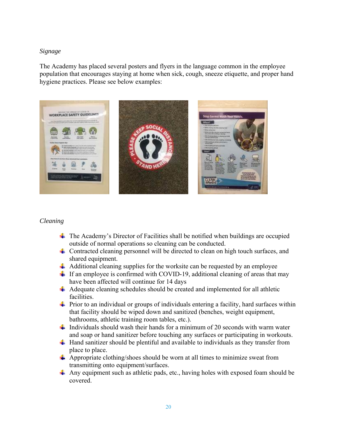## *Signage*

The Academy has placed several posters and flyers in the language common in the employee population that encourages staying at home when sick, cough, sneeze etiquette, and proper hand hygiene practices. Please see below examples:



#### *Cleaning*

- $\overline{\text{+}}$  The Academy's Director of Facilities shall be notified when buildings are occupied outside of normal operations so cleaning can be conducted.
- $\pm$  Contracted cleaning personnel will be directed to clean on high touch surfaces, and shared equipment.
- $\downarrow$  Additional cleaning supplies for the worksite can be requested by an employee
- If an employee is confirmed with COVID-19, additional cleaning of areas that may have been affected will continue for 14 days
- Adequate cleaning schedules should be created and implemented for all athletic facilities.
- $\ddot{\phantom{1}}$  Prior to an individual or groups of individuals entering a facility, hard surfaces within that facility should be wiped down and sanitized (benches, weight equipment, bathrooms, athletic training room tables, etc.).
- $\frac{1}{\sqrt{1}}$  Individuals should wash their hands for a minimum of 20 seconds with warm water and soap or hand sanitizer before touching any surfaces or participating in workouts.
- $\pm$  Hand sanitizer should be plentiful and available to individuals as they transfer from place to place.
- $\downarrow$  Appropriate clothing/shoes should be worn at all times to minimize sweat from transmitting onto equipment/surfaces.
- Any equipment such as athletic pads, etc., having holes with exposed foam should be covered.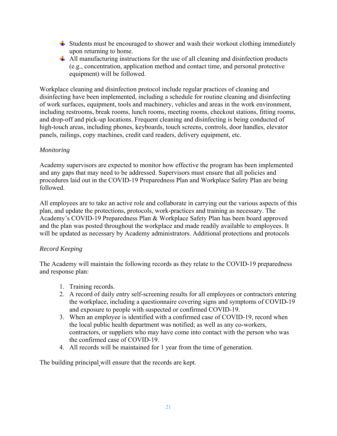- $\frac{1}{\sqrt{2}}$  Students must be encouraged to shower and wash their workout clothing immediately upon returning to home.
- $\triangleq$  All manufacturing instructions for the use of all cleaning and disinfection products (e.g., concentration, application method and contact time, and personal protective equipment) will be followed.

Workplace cleaning and disinfection protocol include regular practices of cleaning and disinfecting have been implemented, including a schedule for routine cleaning and disinfecting of work surfaces, equipment, tools and machinery, vehicles and areas in the work environment, including restrooms, break rooms, lunch rooms, meeting rooms, checkout stations, fitting rooms, and drop-off and pick-up locations. Frequent cleaning and disinfecting is being conducted of high-touch areas, including phones, keyboards, touch screens, controls, door handles, elevator panels, railings, copy machines, credit card readers, delivery equipment, etc.

## *Monitoring*

Academy supervisors are expected to monitor how effective the program has been implemented and any gaps that may need to be addressed. Supervisors must ensure that all policies and procedures laid out in the COVID-19 Preparedness Plan and Workplace Safety Plan are being followed.

All employees are to take an active role and collaborate in carrying out the various aspects of this plan, and update the protections, protocols, work-practices and training as necessary. The Academy's COVID-19 Preparedness Plan & Workplace Safety Plan has been board approved and the plan was posted throughout the workplace and made readily available to employees. It will be updated as necessary by Academy administrators. Additional protections and protocols

## *Record Keeping*

The Academy will maintain the following records as they relate to the COVID-19 preparedness and response plan:

- 1. Training records.
- 2. A record of daily entry self-screening results for all employees or contractors entering the workplace, including a questionnaire covering signs and symptoms of COVID-19 and exposure to people with suspected or confirmed COVID-19.
- 3. When an employee is identified with a confirmed case of COVID-19, record when the local public health department was notified; as well as any co-workers, contractors, or suppliers who may have come into contact with the person who was the confirmed case of COVID-19.
- 4. All records will be maintained for 1 year from the time of generation.

The building principal will ensure that the records are kept.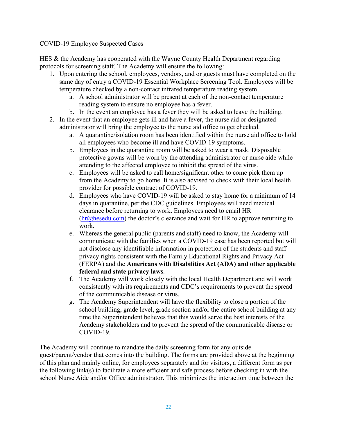## COVID-19 Employee Suspected Cases

HES & the Academy has cooperated with the Wayne County Health Department regarding protocols for screening staff. The Academy will ensure the following:

- 1. Upon entering the school, employees, vendors, and or guests must have completed on the same day of entry a COVID-19 Essential Workplace Screening Tool. Employees will be temperature checked by a non-contact infrared temperature reading system
	- a. A school administrator will be present at each of the non-contact temperature reading system to ensure no employee has a fever.
	- b. In the event an employee has a fever they will be asked to leave the building.
- 2. In the event that an employee gets ill and have a fever, the nurse aid or designated administrator will bring the employee to the nurse aid office to get checked.
	- a. A quarantine/isolation room has been identified within the nurse aid office to hold all employees who become ill and have COVID-19 symptoms.
	- b. Employees in the quarantine room will be asked to wear a mask. Disposable protective gowns will be worn by the attending administrator or nurse aide while attending to the affected employee to inhibit the spread of the virus.
	- c. Employees will be asked to call home/significant other to come pick them up from the Academy to go home. It is also advised to check with their local health provider for possible contract of COVID-19.
	- d. Employees who have COVID-19 will be asked to stay home for a minimum of 14 days in quarantine, per the CDC guidelines. Employees will need medical clearance before returning to work. Employees need to email HR  $(hr@hesedu.com)$  the doctor's clearance and wait for HR to approve returning to work.
	- e. Whereas the general public (parents and staff) need to know, the Academy will communicate with the families when a COVID-19 case has been reported but will not disclose any identifiable information in protection of the students and staff privacy rights consistent with the Family Educational Rights and Privacy Act (FERPA) and the **Americans with Disabilities Act (ADA) and other applicable federal and state privacy laws**.
	- f. The Academy will work closely with the local Health Department and will work consistently with its requirements and CDC's requirements to prevent the spread of the communicable disease or virus.
	- g. The Academy Superintendent will have the flexibility to close a portion of the school building, grade level, grade section and/or the entire school building at any time the Superintendent believes that this would serve the best interests of the Academy stakeholders and to prevent the spread of the communicable disease or COVID-19.

The Academy will continue to mandate the daily screening form for any outside guest/parent/vendor that comes into the building. The forms are provided above at the beginning of this plan and mainly online, for employees separately and for visitors, a different form as per the following link(s) to facilitate a more efficient and safe process before checking in with the school Nurse Aide and/or Office administrator. This minimizes the interaction time between the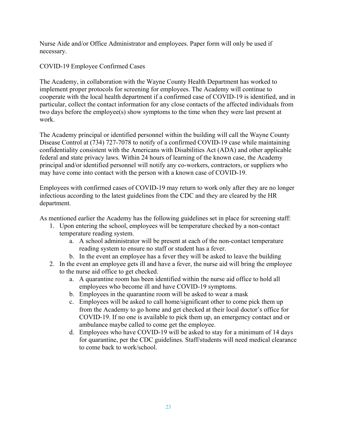Nurse Aide and/or Office Administrator and employees. Paper form will only be used if necessary.

## COVID-19 Employee Confirmed Cases

The Academy, in collaboration with the Wayne County Health Department has worked to implement proper protocols for screening for employees. The Academy will continue to cooperate with the local health department if a confirmed case of COVID-19 is identified, and in particular, collect the contact information for any close contacts of the affected individuals from two days before the employee(s) show symptoms to the time when they were last present at work.

The Academy principal or identified personnel within the building will call the Wayne County Disease Control at (734) 727-7078 to notify of a confirmed COVID-19 case while maintaining confidentiality consistent with the Americans with Disabilities Act (ADA) and other applicable federal and state privacy laws. Within 24 hours of learning of the known case, the Academy principal and/or identified personnel will notify any co-workers, contractors, or suppliers who may have come into contact with the person with a known case of COVID-19.

Employees with confirmed cases of COVID-19 may return to work only after they are no longer infectious according to the latest guidelines from the CDC and they are cleared by the HR department.

As mentioned earlier the Academy has the following guidelines set in place for screening staff:

- 1. Upon entering the school, employees will be temperature checked by a non-contact temperature reading system.
	- a. A school administrator will be present at each of the non-contact temperature reading system to ensure no staff or student has a fever.
	- b. In the event an employee has a fever they will be asked to leave the building
- 2. In the event an employee gets ill and have a fever, the nurse aid will bring the employee to the nurse aid office to get checked.
	- a. A quarantine room has been identified within the nurse aid office to hold all employees who become ill and have COVID-19 symptoms.
	- b. Employees in the quarantine room will be asked to wear a mask
	- c. Employees will be asked to call home/significant other to come pick them up from the Academy to go home and get checked at their local doctor's office for COVID-19. If no one is available to pick them up, an emergency contact and or ambulance maybe called to come get the employee.
	- d. Employees who have COVID-19 will be asked to stay for a minimum of 14 days for quarantine, per the CDC guidelines. Staff/students will need medical clearance to come back to work/school.